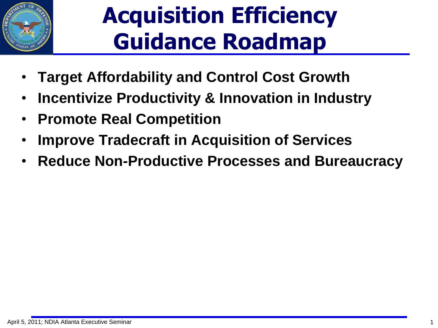

- **Target Affordability and Control Cost Growth**
- **Incentivize Productivity & Innovation in Industry**
- **Promote Real Competition**
- **Improve Tradecraft in Acquisition of Services**
- **Reduce Non-Productive Processes and Bureaucracy**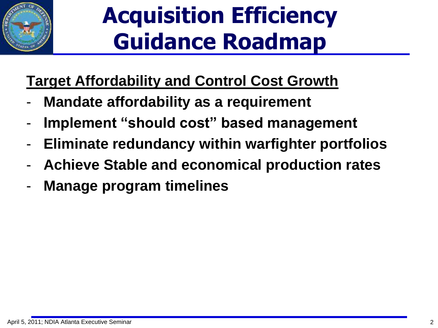

### **Target Affordability and Control Cost Growth**

- **Mandate affordability as a requirement**
- **Implement "should cost" based management**
- **Eliminate redundancy within warfighter portfolios**
- **Achieve Stable and economical production rates**
- **Manage program timelines**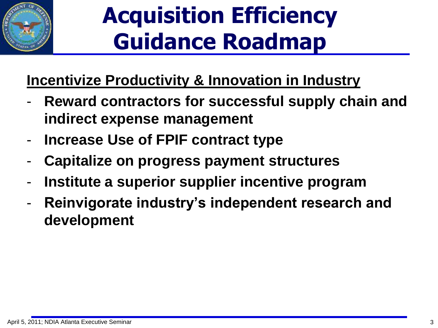

### **Incentivize Productivity & Innovation in Industry**

- Reward contractors for successful supply chain and **indirect expense management**
- **Increase Use of FPIF contract type**
- **Capitalize on progress payment structures**
- **Institute a superior supplier incentive program**
- Reinvigorate industry's independent research and **development**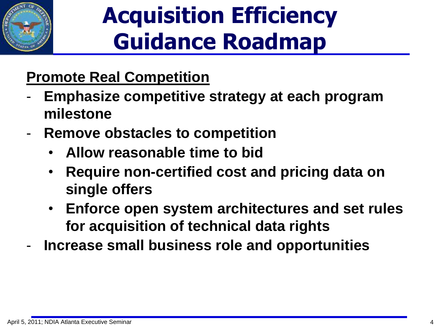

### **Promote Real Competition**

- **Emphasize competitive strategy at each program milestone**
- **Remove obstacles to competition**
	- **Allow reasonable time to bid**
	- **Require non-certified cost and pricing data on single offers**
	- **Enforce open system architectures and set rules for acquisition of technical data rights**
- **Increase small business role and opportunities**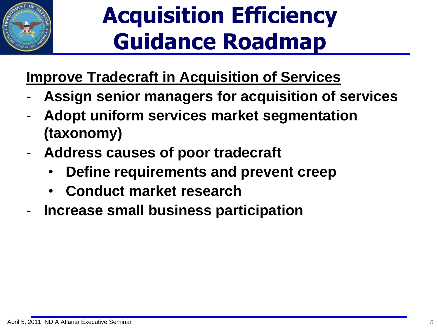

### **Improve Tradecraft in Acquisition of Services**

- **Assign senior managers for acquisition of services**
- **Adopt uniform services market segmentation (taxonomy)**
- **Address causes of poor tradecraft**
	- **Define requirements and prevent creep**
	- **Conduct market research**
- **Increase small business participation**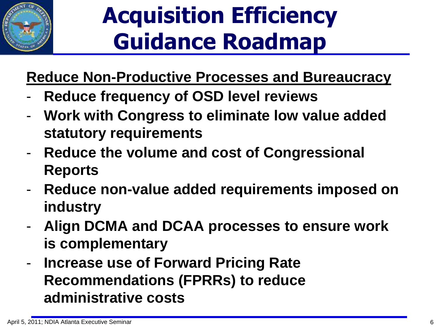

#### **Reduce Non-Productive Processes and Bureaucracy**

- **Reduce frequency of OSD level reviews**
- **Work with Congress to eliminate low value added statutory requirements**
- **Reduce the volume and cost of Congressional Reports**
- **Reduce non-value added requirements imposed on industry**
- **Align DCMA and DCAA processes to ensure work is complementary**
- **Increase use of Forward Pricing Rate Recommendations (FPRRs) to reduce administrative costs**